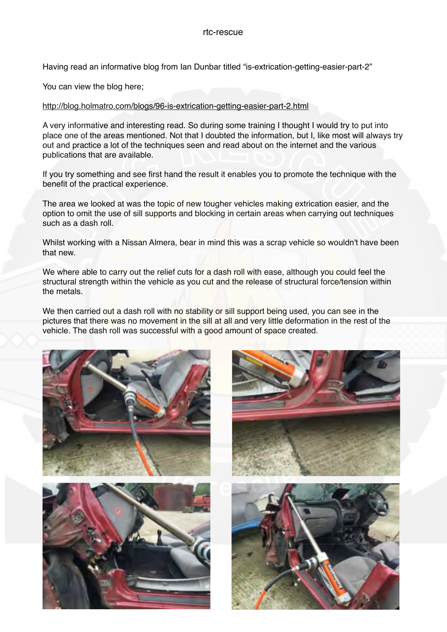Having read an informative blog from Ian Dunbar titled "is-extrication-getting-easier-part-2"

You can view the blog here;

## <http://blog.holmatro.com/blogs/96-is-extrication-getting-easier-part-2.html>

A very informative and interesting read. So during some training I thought I would try to put into place one of the areas mentioned. Not that I doubted the information, but I, like most will always try out and practice a lot of the techniques seen and read about on the internet and the various publications that are available.

If you try something and see first hand the result it enables you to promote the technique with the benefit of the practical experience.

The area we looked at was the topic of new tougher vehicles making extrication easier, and the option to omit the use of sill supports and blocking in certain areas when carrying out techniques such as a dash roll.

Whilst working with a Nissan Almera, bear in mind this was a scrap vehicle so wouldn't have been that new.

We where able to carry out the relief cuts for a dash roll with ease, although you could feel the structural strength within the vehicle as you cut and the release of structural force/tension within the metals.

We then carried out a dash roll with no stability or sill support being used, you can see in the pictures that there was no movement in the sill at all and very little deformation in the rest of the vehicle. The dash roll was successful with a good amount of space created.